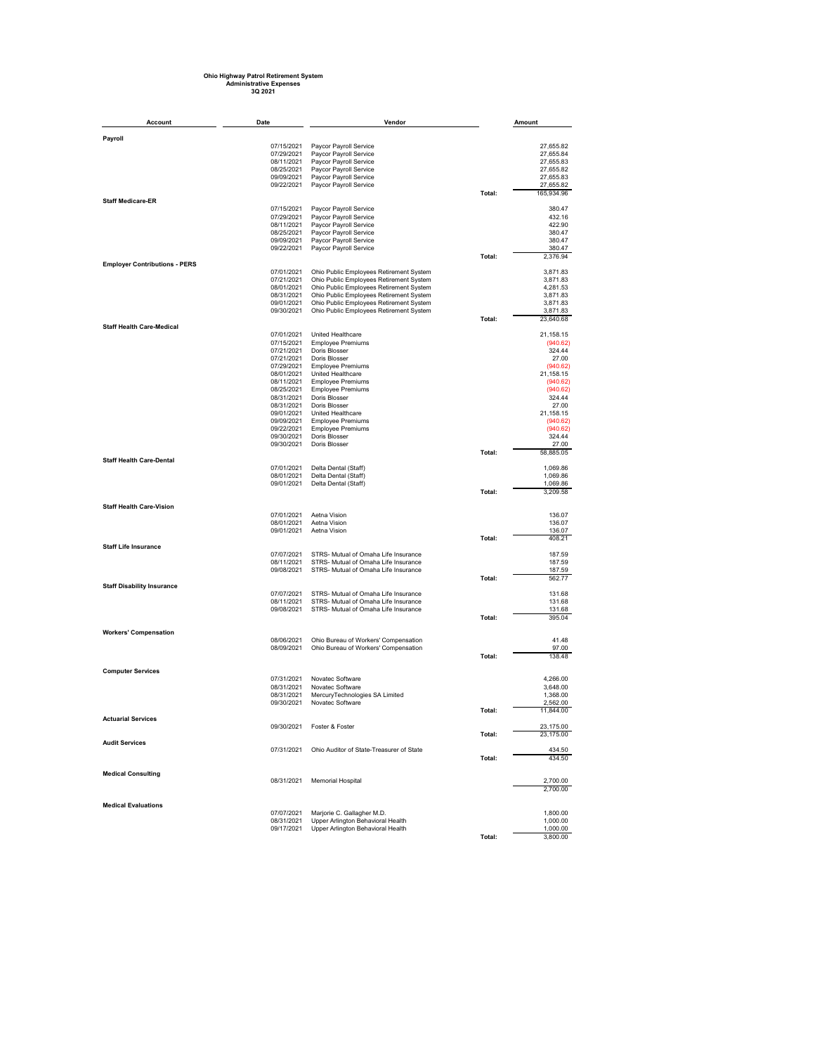## **Ohio Highway Patrol Retirement System Administrative Expenses 3Q 2021**

| Account                              | Date                     | Vendor                                                                       |        | Amount                 |
|--------------------------------------|--------------------------|------------------------------------------------------------------------------|--------|------------------------|
| Payroll                              |                          |                                                                              |        |                        |
|                                      | 07/15/2021               | Paycor Payroll Service                                                       |        | 27,655.82              |
|                                      | 07/29/2021               | Paycor Payroll Service                                                       |        | 27,655.84              |
|                                      | 08/11/2021               | Paycor Payroll Service                                                       |        | 27,655.83              |
|                                      | 08/25/2021<br>09/09/2021 | Paycor Payroll Service                                                       |        | 27,655.82              |
|                                      | 09/22/2021               | Paycor Payroll Service<br>Paycor Payroll Service                             |        | 27,655.83<br>27,655.82 |
|                                      |                          |                                                                              | Total: | 165,934.96             |
| <b>Staff Medicare-ER</b>             |                          |                                                                              |        |                        |
|                                      | 07/15/2021<br>07/29/2021 | Paycor Payroll Service<br>Paycor Payroll Service                             |        | 380.47<br>432.16       |
|                                      | 08/11/2021               | Paycor Payroll Service                                                       |        | 422.90                 |
|                                      | 08/25/2021               | Paycor Payroll Service                                                       |        | 380.47                 |
|                                      | 09/09/2021               | Paycor Payroll Service                                                       |        | 380.47                 |
|                                      | 09/22/2021               | Paycor Payroll Service                                                       |        | 380.47                 |
| <b>Employer Contributions - PERS</b> |                          |                                                                              | Total: | 2.376.94               |
|                                      | 07/01/2021               | Ohio Public Employees Retirement System                                      |        | 3,871.83               |
|                                      | 07/21/2021               | Ohio Public Employees Retirement System                                      |        | 3,871.83               |
|                                      | 08/01/2021               | Ohio Public Employees Retirement System                                      |        | 4,281.53               |
|                                      | 08/31/2021               | Ohio Public Employees Retirement System                                      |        | 3,871.83               |
|                                      | 09/01/2021               | Ohio Public Employees Retirement System                                      |        | 3,871.83               |
|                                      | 09/30/2021               | Ohio Public Employees Retirement System                                      | Total: | 3,871.83<br>23,640.68  |
| <b>Staff Health Care-Medical</b>     |                          |                                                                              |        |                        |
|                                      | 07/01/2021               | United Healthcare                                                            |        | 21,158.15              |
|                                      | 07/15/2021               | <b>Employee Premiums</b>                                                     |        | (940.62)               |
|                                      | 07/21/2021<br>07/21/2021 | Doris Blosser<br>Doris Blosser                                               |        | 324.44<br>27.00        |
|                                      | 07/29/2021               | <b>Employee Premiums</b>                                                     |        | (940.62)               |
|                                      | 08/01/2021               | United Healthcare                                                            |        | 21,158.15              |
|                                      | 08/11/2021               | <b>Employee Premiums</b>                                                     |        | (940.62)               |
|                                      | 08/25/2021               | <b>Employee Premiums</b>                                                     |        | (940.62)               |
|                                      | 08/31/2021               | Doris Blosser                                                                |        | 324.44                 |
|                                      | 08/31/2021<br>09/01/2021 | Doris Blosser<br>United Healthcare                                           |        | 27.00<br>21,158.15     |
|                                      | 09/09/2021               | <b>Employee Premiums</b>                                                     |        | (940.62)               |
|                                      | 09/22/2021               | <b>Employee Premiums</b>                                                     |        | (940.62)               |
|                                      | 09/30/2021               | Doris Blosser                                                                |        | 324.44                 |
|                                      | 09/30/2021               | Doris Blosser                                                                |        | 27.00                  |
|                                      |                          |                                                                              | Total: | 58,885.05              |
| <b>Staff Health Care-Dental</b>      | 07/01/2021               | Delta Dental (Staff)                                                         |        | 1,069.86               |
|                                      | 08/01/2021               | Delta Dental (Staff)                                                         |        | 1,069.86               |
|                                      | 09/01/2021               | Delta Dental (Staff)                                                         |        | 1,069.86               |
|                                      |                          |                                                                              | Total: | 3,209.58               |
| <b>Staff Health Care-Vision</b>      |                          |                                                                              |        |                        |
|                                      | 07/01/2021               | Aetna Vision                                                                 |        | 136.07                 |
|                                      | 08/01/2021               | Aetna Vision                                                                 |        | 136.07                 |
|                                      | 09/01/2021               | Aetna Vision                                                                 |        | 136.07                 |
|                                      |                          |                                                                              | Total: | 408.21                 |
| <b>Staff Life Insurance</b>          |                          | STRS- Mutual of Omaha Life Insurance                                         |        |                        |
|                                      | 07/07/2021<br>08/11/2021 | STRS- Mutual of Omaha Life Insurance                                         |        | 187.59<br>187.59       |
|                                      | 09/08/2021               | STRS- Mutual of Omaha Life Insurance                                         |        | 187.59                 |
|                                      |                          |                                                                              | Total: | 562.77                 |
| <b>Staff Disability Insurance</b>    |                          |                                                                              |        |                        |
|                                      | 07/07/2021<br>08/11/2021 | STRS- Mutual of Omaha Life Insurance<br>STRS- Mutual of Omaha Life Insurance |        | 131.68<br>131.68       |
|                                      | 09/08/2021               | STRS- Mutual of Omaha Life Insurance                                         |        | 131.68                 |
|                                      |                          |                                                                              | Total: | 395.04                 |
|                                      |                          |                                                                              |        |                        |
| <b>Workers' Compensation</b>         | 08/06/2021               | Ohio Bureau of Workers' Compensation                                         |        | 41.48                  |
|                                      | 08/09/2021               | Ohio Bureau of Workers' Compensation                                         |        | 97.00                  |
|                                      |                          |                                                                              | Total: | 138.48                 |
|                                      |                          |                                                                              |        |                        |
| <b>Computer Services</b>             | 07/31/2021               | Novatec Software                                                             |        | 4,266.00               |
|                                      | 08/31/2021               | Novatec Software                                                             |        | 3,648.00               |
|                                      | 08/31/2021               | MercuryTechnologies SA Limited                                               |        | 1,368.00               |
|                                      | 09/30/2021               | Novatec Software                                                             |        | 2,562.00               |
|                                      |                          |                                                                              | Total: | 11,844.00              |
| <b>Actuarial Services</b>            |                          |                                                                              |        |                        |
|                                      | 09/30/2021               | Foster & Foster                                                              | Total: | 23,175.00<br>23,175.00 |
| <b>Audit Services</b>                |                          |                                                                              |        |                        |
|                                      | 07/31/2021               | Ohio Auditor of State-Treasurer of State                                     |        | 434.50                 |
|                                      |                          |                                                                              | Total: | 434.50                 |
| <b>Medical Consulting</b>            |                          |                                                                              |        |                        |
|                                      | 08/31/2021               | <b>Memorial Hospital</b>                                                     |        | 2,700.00               |
|                                      |                          |                                                                              |        | 2,700.00               |
|                                      |                          |                                                                              |        |                        |
| <b>Medical Evaluations</b>           | 07/07/2021               | Marjorie C. Gallagher M.D.                                                   |        | 1,800.00               |
|                                      | 08/31/2021               | Upper Arlington Behavioral Health                                            |        | 1,000.00               |
|                                      | 09/17/2021               | Upper Arlington Behavioral Health                                            |        | 1,000.00               |
|                                      |                          |                                                                              | Total: | 3,800.00               |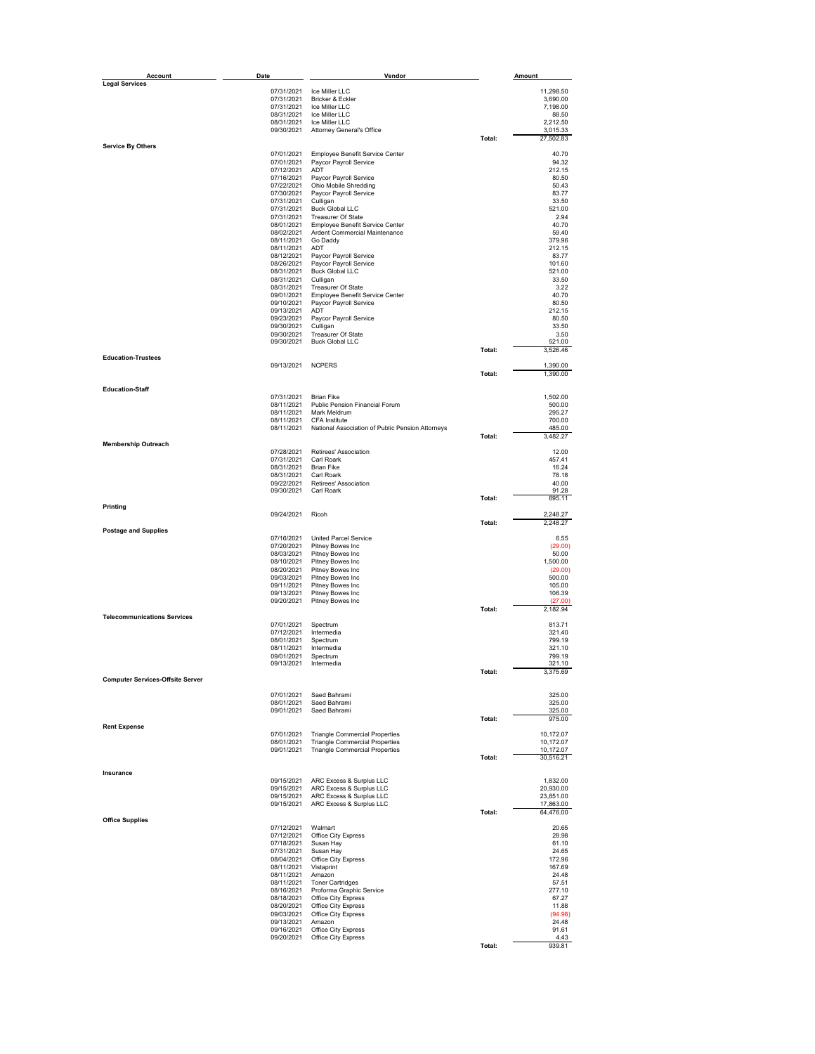| <b>Account</b>                          | Date                     | Vendor                                           |        | Amount               |
|-----------------------------------------|--------------------------|--------------------------------------------------|--------|----------------------|
| <b>Legal Services</b>                   |                          |                                                  |        |                      |
|                                         | 07/31/2021               | Ice Miller LLC                                   |        | 11,298.50            |
|                                         | 07/31/2021<br>07/31/2021 | Bricker & Eckler<br>Ice Miller LLC               |        | 3,690.00             |
|                                         | 08/31/2021               | Ice Miller LLC                                   |        | 7,198.00<br>88.50    |
|                                         | 08/31/2021               | Ice Miller LLC                                   |        | 2,212.50             |
|                                         | 09/30/2021               | <b>Attorney General's Office</b>                 |        | 3,015.33             |
|                                         |                          |                                                  | Total: | 27,502.83            |
| Service By Others                       |                          |                                                  |        |                      |
|                                         | 07/01/2021               | Employee Benefit Service Center                  |        | 40.70                |
|                                         | 07/01/2021               | Paycor Payroll Service                           |        | 94.32                |
|                                         | 07/12/2021               | ADT                                              |        | 212.15               |
|                                         | 07/16/2021<br>07/22/2021 | Paycor Payroll Service<br>Ohio Mobile Shredding  |        | 80.50<br>50.43       |
|                                         | 07/30/2021               | Paycor Payroll Service                           |        | 83.77                |
|                                         | 07/31/2021               | Culligan                                         |        | 33.50                |
|                                         | 07/31/2021               | <b>Buck Global LLC</b>                           |        | 521.00               |
|                                         | 07/31/2021               | Treasurer Of State                               |        | 2.94                 |
|                                         | 08/01/2021               | Employee Benefit Service Center                  |        | 40.70                |
|                                         | 08/02/2021               | Ardent Commercial Maintenance                    |        | 59.40                |
|                                         | 08/11/2021               | Go Daddy                                         |        | 379.96               |
|                                         | 08/11/2021               | <b>ADT</b>                                       |        | 212.15               |
|                                         | 08/12/2021               | Paycor Payroll Service                           |        | 83.77                |
|                                         | 08/26/2021               | Paycor Payroll Service                           |        | 101.60               |
|                                         | 08/31/2021               | <b>Buck Global LLC</b>                           |        | 521.00               |
|                                         | 08/31/2021               | Culligan                                         |        | 33.50                |
|                                         | 08/31/2021               | Treasurer Of State                               |        | 3.22                 |
|                                         | 09/01/2021               | Employee Benefit Service Center                  |        | 40.70                |
|                                         | 09/10/2021               | Paycor Payroll Service                           |        | 80.50                |
|                                         | 09/13/2021               | ADT                                              |        | 212.15               |
|                                         | 09/23/2021               | Paycor Payroll Service                           |        | 80.50                |
|                                         | 09/30/2021               | Culligan                                         |        | 33.50                |
|                                         | 09/30/2021               | <b>Treasurer Of State</b>                        |        | 3.50                 |
|                                         | 09/30/2021               | <b>Buck Global LLC</b>                           |        | 521.00               |
|                                         |                          |                                                  | Total: | 3,526.46             |
| <b>Education-Trustees</b>               |                          |                                                  |        |                      |
|                                         | 09/13/2021               | <b>NCPERS</b>                                    | Total: | 1,390.00<br>1,390.00 |
|                                         |                          |                                                  |        |                      |
| <b>Education-Staff</b>                  |                          |                                                  |        |                      |
|                                         | 07/31/2021               | <b>Brian Fike</b>                                |        | 1,502.00             |
|                                         | 08/11/2021               | Public Pension Financial Forum                   |        | 500.00               |
|                                         | 08/11/2021               | Mark Meldrum                                     |        | 295.27               |
|                                         | 08/11/2021               | CFA Institute                                    |        | 700.00               |
|                                         | 08/11/2021               | National Association of Public Pension Attorneys |        | 485.00               |
|                                         |                          |                                                  | Total: | 3,482.27             |
| <b>Membership Outreach</b>              | 07/28/2021               |                                                  |        |                      |
|                                         |                          | Retirees' Association                            |        | 12.00                |
|                                         | 07/31/2021               | Carl Roark                                       |        | 457.41               |
|                                         | 08/31/2021<br>08/31/2021 | <b>Brian Fike</b><br>Carl Roark                  |        | 16.24<br>78.18       |
|                                         | 09/22/2021               | Retirees' Association                            |        | 40.00                |
|                                         | 09/30/2021               | Carl Roark                                       |        | 91.28                |
|                                         |                          |                                                  | Total: | 695.11               |
| Printing                                |                          |                                                  |        |                      |
|                                         | 09/24/2021               | Ricoh                                            |        | 2,248.27             |
|                                         |                          |                                                  | Total: | 2,248.27             |
| <b>Postage and Supplies</b>             |                          |                                                  |        |                      |
|                                         | 07/16/2021               | <b>United Parcel Service</b>                     |        | 6.55                 |
|                                         | 07/20/2021               | Pitney Bowes Inc                                 |        | (29.00)              |
|                                         | 08/03/2021               | Pitney Bowes Inc                                 |        | 50.00                |
|                                         | 08/10/2021               | Pitney Bowes Inc                                 |        | 1,500.00             |
|                                         | 08/20/2021               | Pitney Bowes Inc                                 |        | (29.00)              |
|                                         | 09/03/2021               | Pitney Bowes Inc                                 |        | 500.00               |
|                                         | 09/11/2021               | Pitney Bowes Inc                                 |        | 105.00               |
|                                         | 09/13/2021               | Pitney Bowes Inc                                 |        | 106.39               |
|                                         | 09/20/2021               | Pitney Bowes Inc                                 | Total: | (27.00)<br>2,182.94  |
| <b>Telecommunications Services</b>      |                          |                                                  |        |                      |
|                                         | 07/01/2021               | Spectrum                                         |        | 813.71               |
|                                         | 07/12/2021               | Intermedia                                       |        | 321.40               |
|                                         | 08/01/2021               | Spectrum                                         |        | 799.19               |
|                                         | 08/11/2021               | Intermedia                                       |        | 321.10               |
|                                         | 09/01/2021               | Spectrum                                         |        | 799.19               |
|                                         | 09/13/2021               | Intermedia                                       |        | 321.10               |
|                                         |                          |                                                  | Total: | 3,375.69             |
| <b>Computer Services-Offsite Server</b> |                          |                                                  |        |                      |
|                                         |                          |                                                  |        |                      |
|                                         | 07/01/2021               | Saed Bahrami                                     |        | 325.00               |
|                                         | 08/01/2021               | Saed Bahrami<br>Saed Bahrami                     |        | 325.00               |
|                                         | 09/01/2021               |                                                  |        | 325.00<br>975.00     |
| <b>Rent Expense</b>                     |                          |                                                  | Total: |                      |
|                                         | 07/01/2021               | <b>Triangle Commercial Properties</b>            |        | 10,172.07            |
|                                         | 08/01/2021               | <b>Triangle Commercial Properties</b>            |        | 10,172.07            |
|                                         | 09/01/2021               | <b>Triangle Commercial Properties</b>            |        | 10,172.07            |
|                                         |                          |                                                  | Total: | 30,516.21            |
|                                         |                          |                                                  |        |                      |
| Insurance                               |                          |                                                  |        |                      |
|                                         |                          | 09/15/2021 ARC Excess & Surplus LLC              |        | 1,832.00             |
|                                         | 09/15/2021               | ARC Excess & Surplus LLC                         |        | 20,930.00            |
|                                         |                          | 09/15/2021 ARC Excess & Surplus LLC              |        | 23,851.00            |
|                                         |                          | 09/15/2021 ARC Excess & Surplus LLC              |        | 17,863.00            |
|                                         |                          |                                                  | Total: | 64,476.00            |
| <b>Office Supplies</b>                  |                          |                                                  |        |                      |
|                                         | 07/12/2021               | Walmart                                          |        | 20.65<br>28.98       |
|                                         | 07/12/2021<br>07/18/2021 | Office City Express<br>Susan Hay                 |        | 61.10                |
|                                         |                          |                                                  |        | 24.65                |
|                                         | 07/31/2021<br>08/04/2021 | Susan Hay<br>Office City Express                 |        | 172.96               |
|                                         | 08/11/2021               |                                                  |        | 167.69               |
|                                         | 08/11/2021               | Vistaprint<br>Amazon                             |        | 24.48                |
|                                         | 08/11/2021               | <b>Toner Cartridges</b>                          |        | 57.51                |
|                                         | 08/16/2021               | Proforma Graphic Service                         |        | 277.10               |
|                                         | 08/18/2021               | Office City Express                              |        | 67.27                |
|                                         | 08/20/2021               | Office City Express                              |        | 11.88                |
|                                         | 09/03/2021               | Office City Express                              |        | (94.98)              |
|                                         | 09/13/2021               | Amazon                                           |        | 24.48                |
|                                         | 09/16/2021               | Office City Express                              |        | 91.61                |
|                                         | 09/20/2021               | Office City Express                              |        | 4.43                 |
|                                         |                          |                                                  | Total: | 939.81               |